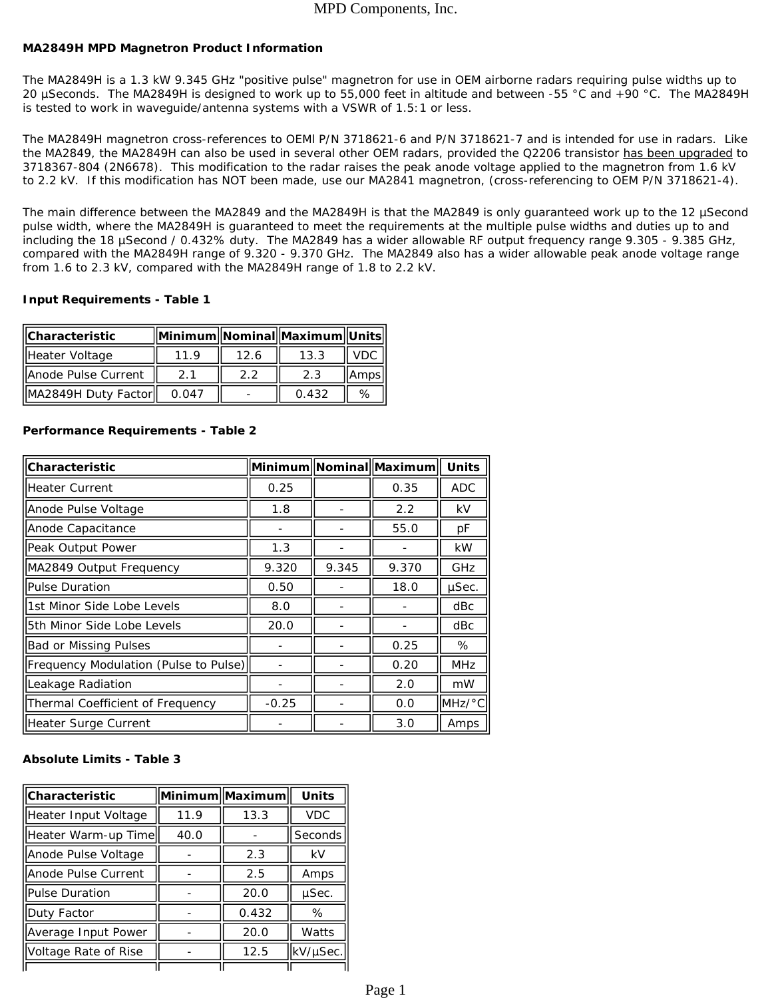### MPD Components, Inc.

#### **MA2849H MPD Magnetron Product Information**

The MA2849H is a 1.3 kW 9.345 GHz "positive pulse" magnetron for use in OEM airborne radars requiring pulse widths up to 20 µSeconds. The MA2849H is designed to work up to 55,000 feet in altitude and between -55 °C and +90 °C. The MA2849H is tested to work in waveguide/antenna systems with a VSWR of 1.5:1 or less.

The MA2849H magnetron cross-references to OEMl P/N 3718621-6 and P/N 3718621-7 and is intended for use in radars. Like the MA2849, the MA2849H can also be used in several other OEM radars, *provided the Q2206 transistor has been upgraded to 3718367-804 (2N6678). This modification to the radar raises the peak anode voltage applied to the magnetron from 1.6 kV to 2.2 kV.* If this modification has NOT been made, use our MA2841 magnetron, (cross-referencing to OEM P/N 3718621-4).

The main difference between the MA2849 and the MA2849H is that the MA2849 is only quaranteed work up to the 12 uSecond pulse width, where the MA2849H is guaranteed to meet the requirements at the multiple pulse widths and duties up to and including the 18 µSecond / 0.432% duty. The MA2849 has a wider allowable RF output frequency range 9.305 - 9.385 GHz, compared with the MA2849H range of 9.320 - 9.370 GHz. The MA2849 also has a wider allowable peak anode voltage range from 1.6 to 2.3 kV, compared with the MA2849H range of 1.8 to 2.2 kV.

#### **Input Requirements - Table 1**

| <b>Characteristic</b> |       |      | Minimum  Nominal  Maximum  Units |         |
|-----------------------|-------|------|----------------------------------|---------|
| Heater Voltage        | 11.9  | 12.6 | 13.3                             | VDC'    |
| Anode Pulse Current   | 21    | フフ   | 2.3                              | lAmpsll |
| MA2849H Duty Factor   | 0.047 |      | 0.432                            | ℅       |

| Characteristic                        |         |       | Minimum Nominal Maximum | <b>Units</b>          |
|---------------------------------------|---------|-------|-------------------------|-----------------------|
| <b>Heater Current</b>                 | 0.25    |       | 0.35                    | <b>ADC</b>            |
| Anode Pulse Voltage                   | 1.8     |       | 2.2                     | kV                    |
| Anode Capacitance                     |         |       | 55.0                    | рF                    |
| Peak Output Power                     | 1.3     |       |                         | <b>kW</b>             |
| MA2849 Output Frequency               | 9.320   | 9.345 | 9.370                   | GHz                   |
| <b>Pulse Duration</b>                 | 0.50    |       | 18.0                    | µSec.                 |
| 1st Minor Side Lobe Levels            | 8.0     |       |                         | dBc                   |
| 5th Minor Side Lobe Levels            | 20.0    |       |                         | dBc                   |
| <b>Bad or Missing Pulses</b>          |         |       | 0.25                    | %                     |
| Frequency Modulation (Pulse to Pulse) |         |       | 0.20                    | <b>MHz</b>            |
| Leakage Radiation                     |         |       | 2.0                     | mW                    |
| Thermal Coefficient of Frequency      | $-0.25$ |       | 0.0                     | $IMHz$ <sup>o</sup> C |
| Heater Surge Current                  |         |       | 3.0                     | Amps                  |

#### **Performance Requirements - Table 2**

#### **Absolute Limits - Table 3**

| <b>Characteristic</b> |      | Minimum  Maximum | <b>Units</b> |
|-----------------------|------|------------------|--------------|
| Heater Input Voltage  | 11.9 | 13.3             | <b>VDC</b>   |
| Heater Warm-up Time   | 40.0 |                  | Seconds      |
| Anode Pulse Voltage   |      | 2.3              | kV           |
| Anode Pulse Current   |      | 2.5              | Amps         |
| Pulse Duration        |      | 20.0             | µSec.        |
| Duty Factor           |      | 0.432            | %            |
| Average Input Power   |      | 20.0             | Watts        |
| Voltage Rate of Rise  |      | 12.5             | kV/µSec.     |
|                       |      |                  |              |